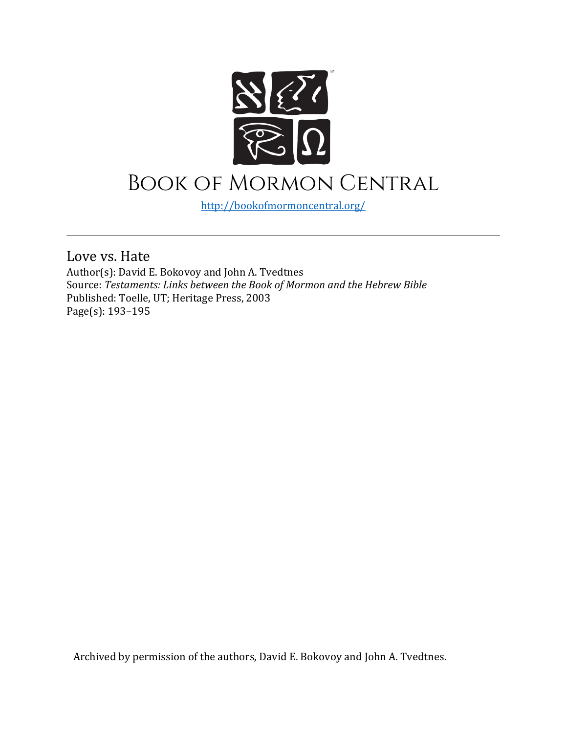

## Book of Mormon Central

<http://bookofmormoncentral.org/>

Love vs. Hate

Author(s): David E. Bokovoy and John A. Tvedtnes Source: *Testaments: Links between the Book of Mormon and the Hebrew Bible* Published: Toelle, UT; Heritage Press, 2003 Page(s): 193–195

Archived by permission of the authors, David E. Bokovoy and John A. Tvedtnes.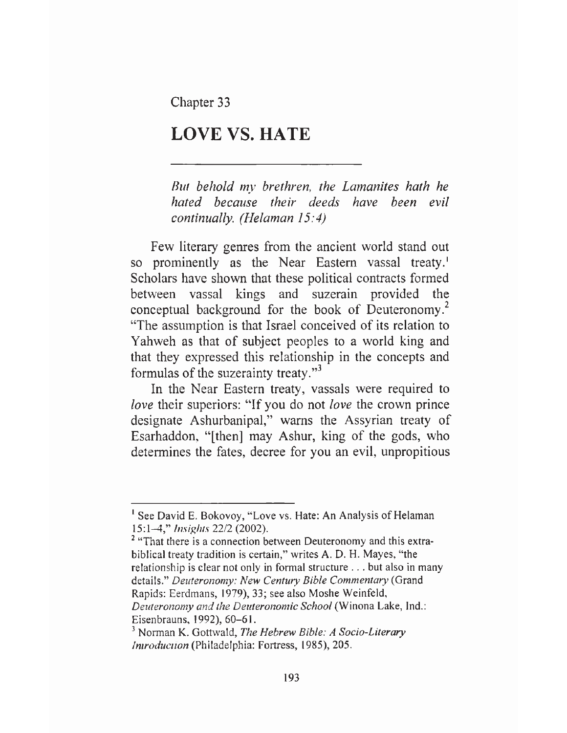Chapter 33

## **LOVE VS. HATE**

*But behold my brethren, the Lamanites hath he hated because their deeds have been evil continually. (Helaman 15:4)*

Few literary genres from the ancient world stand out so prominently as the Near Eastern vassal treaty.<sup>1</sup> Scholars have shown that these political contracts formed between vassal kings and suzerain provided the conceptual background for the book of Deuteronomy.<sup>2</sup> "The assumption is that Israel conceived of its relation to Yahweh as that of subject peoples to a world king and that they expressed this relationship in the concepts and formulas of the suzerainty treaty."<sup>3</sup>

In the Near Eastern treaty, vassals were required to *love* their superiors: "If you do not *love* the crown prince designate Ashurbanipal," warns the Assyrian treaty of Esarhaddon, "[then] may Ashur, king of the gods, who determines the fates, decree for you an evil, unpropitious

<sup>1</sup> See David E. Bokovoy, "Love vs. Hate: An Analysis of Helaman 15:1-4," *Insights* 22/2 (2002).

<sup>&</sup>lt;sup>2</sup> "That there is a connection between Deuteronomy and this extrabiblical treaty tradition is certain," writes A. D. H. Mayes, "the relationship is clear not only in formal structure . . . but also in many details." *Deuteronomy: New Century Bible Commentary* (Grand Rapids: Eerdmans, 1979), 33; see also Moshe Weinfeld, *Deuteronomy and the Deuteronomic School* (Winona Lake, Ind.: Eisenbrauns, 1992), 60-61.

<sup>3</sup> Norman K. Gottwald, *The Hebrew Bible: A Socio-Literary Introduction* (Philadelphia: Fortress, 1985), 205.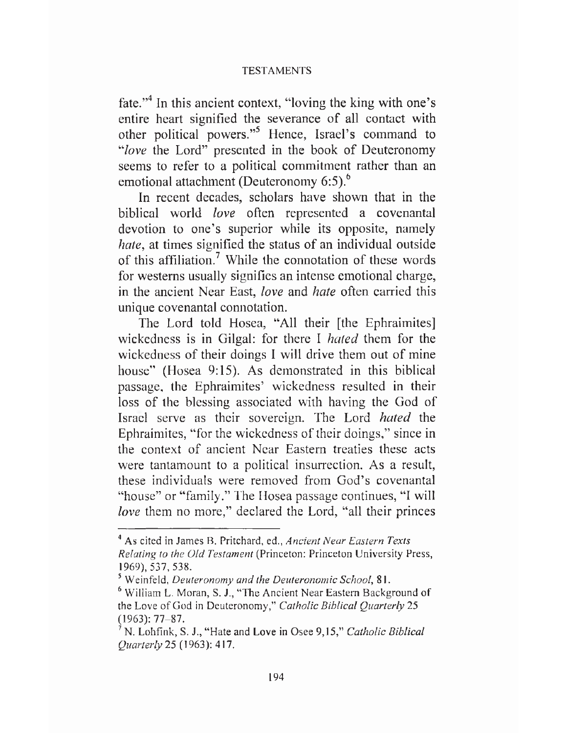## TESTAMENTS

fate.<sup>"4</sup> In this ancient context, "loving the king with one's entire heart signified the severance of all contact with other political powers."<sup>5</sup> Hence, Israel's command to *"love* the Lord" presented in the book of Deuteronomy seems to refer to a political commitment rather than an emotional attachment (Deuteronomy 6:5).<sup>6</sup>

In recent decades, scholars have shown that in the biblical world *love* often represented a covenantal devotion to one's superior while its opposite, namely *hate,* at times signified the status of an individual outside of this affiliation.<sup>7</sup> While the connotation of these words for westerns usually signifies an intense emotional charge, in the ancient Near East, *love* and *hate* often carried this unique covenantal connotation.

The Lord told Hosea, "All their [the Ephraimites] wickedness is in Gilgal: for there I *hated* them for the wickedness of their doings I will drive them out of mine house" (Hosea 9:15). As demonstrated in this biblical passage, the Ephraimites' wickedness resulted in their loss of the blessing associated with having the God of Israel serve as their sovereign. The Lord *hated* the Ephraimites, "for the wickedness of their doings," since in the context of ancient Near Eastern treaties these acts were tantamount to a political insurrection. As a result, these individuals were removed from God's covenantal "house" or "family." The Hosea passage continues, "I will *love* them no more," declared the Lord, "all their princes

<sup>4</sup> As cited in James B. Pritchard, ed., *Ancient Near Eastern Texts Relating to the Old Testament* (Princeton: Princeton University Press, 1969), 537, 538.

<sup>5</sup> Weinfeld, *Deuteronomy and the Deuteronomic School,* 81.

<sup>5</sup> William L. Moran, S. J., "The Ancient Near Eastern Background of the Love of God in Deuteronomy," *Catholic Biblical Quarterly* 25 (1963): 77-87.

<sup>7</sup> N. Lohfink, S. J., "Hate and Love in Osee 9,15," *Catholic Biblical Quarterly* 25 (1963): 417.